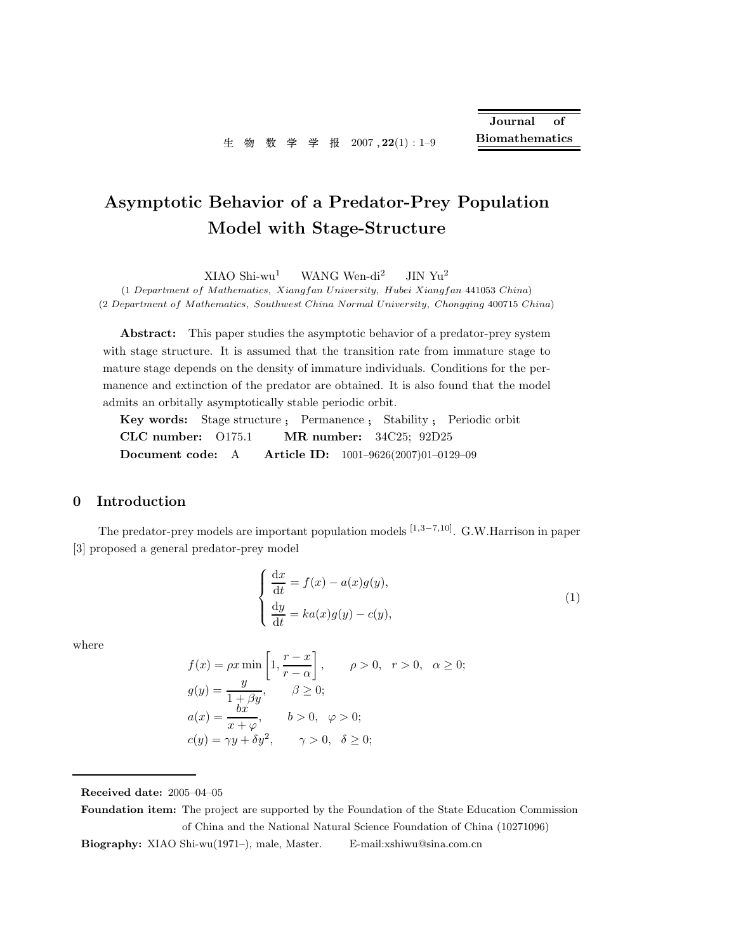# Asymptotic Behavior of a Predator-Prey Population Model with Stage-Structure

 $XIAO Shi-wu<sup>1</sup>$  WANG Wen-di<sup>2</sup> JIN Yu<sup>2</sup>

(1 Department of Mathematics, Xiangfan University, Hubei Xiangfan 441053 China) (2 Department of Mathematics, Southwest China Normal University, Chongqing 400715 China)

Abstract: This paper studies the asymptotic behavior of a predator-prey system with stage structure. It is assumed that the transition rate from immature stage to mature stage depends on the density of immature individuals. Conditions for the permanence and extinction of the predator are obtained. It is also found that the model admits an orbitally asymptotically stable periodic orbit.

Key words: Stage structure ; Permanence ; Stability ; Periodic orbit CLC number: O175.1 MR number: 34C25; 92D25 Document code: A Article ID: 1001–9626(2007)01–0129–09

#### 0 Introduction

The predator-prey models are important population models  $[1,3-7,10]$ . G.W.Harrison in paper [3] proposed a general predator-prey model

$$
\begin{cases}\n\frac{dx}{dt} = f(x) - a(x)g(y), \\
\frac{dy}{dt} = ka(x)g(y) - c(y),\n\end{cases}
$$
\n(1)

where

$$
f(x) = \rho x \min\left[1, \frac{r-x}{r-\alpha}\right], \qquad \rho > 0, \quad r > 0, \quad \alpha \ge 0;
$$
  
\n
$$
g(y) = \frac{y}{1+\beta y}, \qquad \beta \ge 0;
$$
  
\n
$$
a(x) = \frac{bx}{x+\varphi}, \qquad b > 0, \quad \varphi > 0;
$$
  
\n
$$
c(y) = \gamma y + \delta y^2, \qquad \gamma > 0, \quad \delta \ge 0;
$$

Received date: 2005–04–05

Foundation item: The project are supported by the Foundation of the State Education Commission of China and the National Natural Science Foundation of China (10271096)

Biography: XIAO Shi-wu(1971–), male, Master. E-mail:xshiwu@sina.com.cn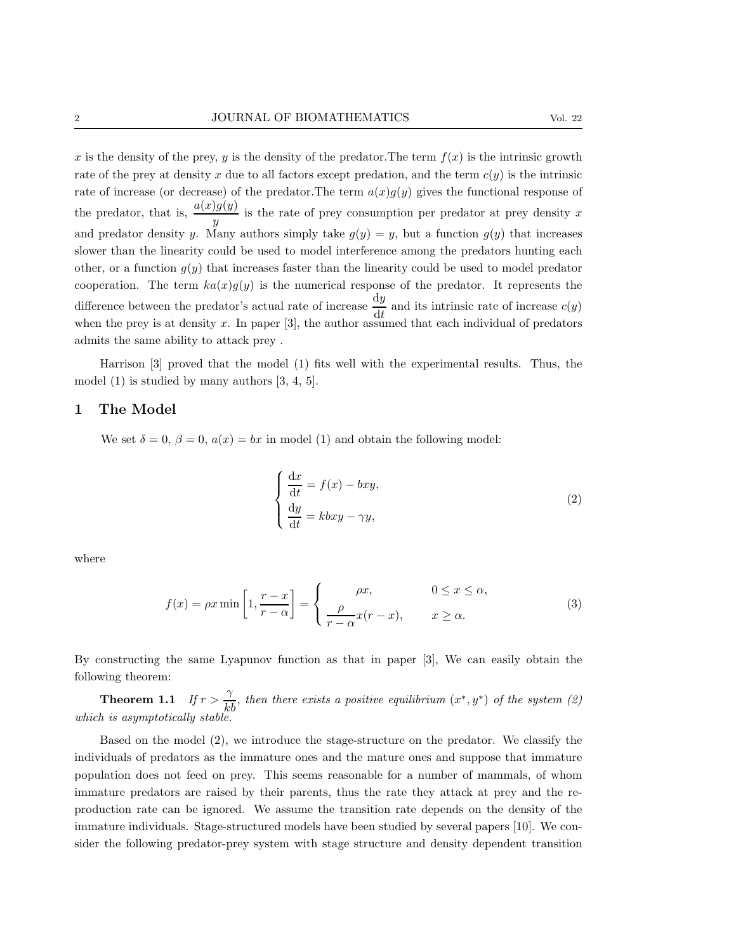x is the density of the prey, y is the density of the predator. The term  $f(x)$  is the intrinsic growth rate of the prey at density x due to all factors except predation, and the term  $c(y)$  is the intrinsic rate of increase (or decrease) of the predator. The term  $a(x)g(y)$  gives the functional response of the predator, that is,  $\frac{a(x)g(y)}{y}$  is the rate of prey consumption per predator at prey density x and predator density y. Many authors simply take  $g(y) = y$ , but a function  $g(y)$  that increases slower than the linearity could be used to model interference among the predators hunting each other, or a function  $g(y)$  that increases faster than the linearity could be used to model predator cooperation. The term  $ka(x)g(y)$  is the numerical response of the predator. It represents the difference between the predator's actual rate of increase  $\frac{dy}{dt}$  and its intrinsic rate of increase  $c(y)$ when the prey is at density  $x$ . In paper  $[3]$ , the author assumed that each individual of predators admits the same ability to attack prey .

Harrison [3] proved that the model (1) fits well with the experimental results. Thus, the model (1) is studied by many authors [3, 4, 5].

#### 1 The Model

We set  $\delta = 0$ ,  $\beta = 0$ ,  $a(x) = bx$  in model (1) and obtain the following model:

$$
\begin{cases}\n\frac{\mathrm{d}x}{\mathrm{d}t} = f(x) - bxy, \\
\frac{\mathrm{d}y}{\mathrm{d}t} = kbxy - \gamma y,\n\end{cases}
$$
\n(2)

where

$$
f(x) = \rho x \min\left[1, \frac{r-x}{r-\alpha}\right] = \begin{cases} \rho x, & 0 \le x \le \alpha, \\ \frac{\rho}{r-\alpha} x(r-x), & x \ge \alpha. \end{cases}
$$
(3)

By constructing the same Lyapunov function as that in paper [3], We can easily obtain the following theorem:

**Theorem 1.1** If  $r > \frac{\gamma}{kb}$ , then there exists a positive equilibrium  $(x^*, y^*)$  of the system (2) which is asymptotically stable.

Based on the model (2), we introduce the stage-structure on the predator. We classify the individuals of predators as the immature ones and the mature ones and suppose that immature population does not feed on prey. This seems reasonable for a number of mammals, of whom immature predators are raised by their parents, thus the rate they attack at prey and the reproduction rate can be ignored. We assume the transition rate depends on the density of the immature individuals. Stage-structured models have been studied by several papers [10]. We consider the following predator-prey system with stage structure and density dependent transition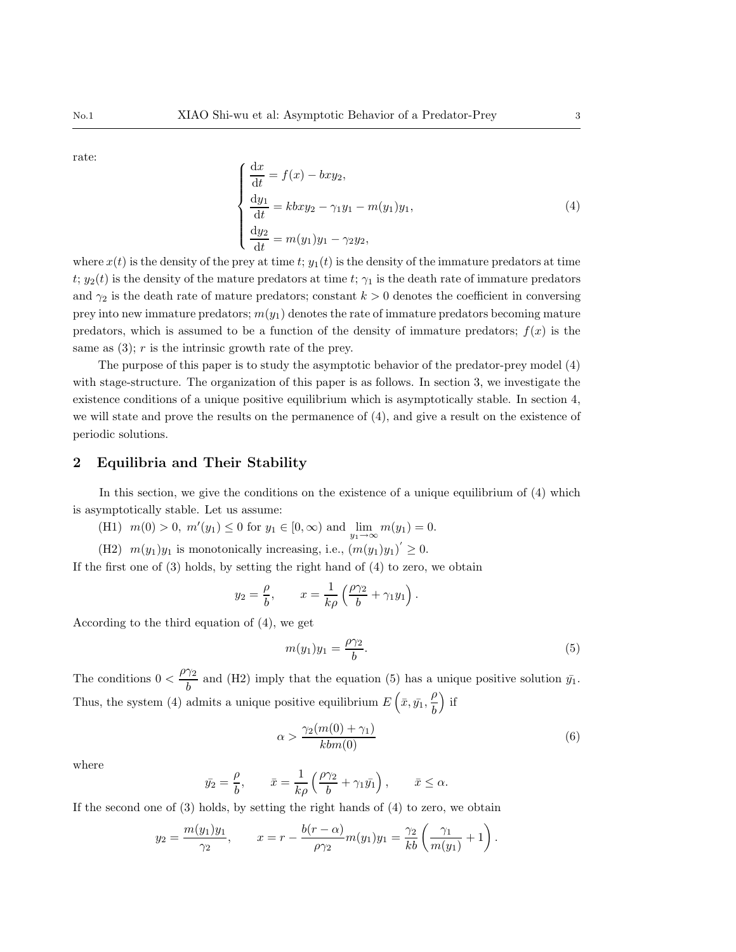rate:

$$
\begin{cases}\n\frac{dx}{dt} = f(x) - bxy_2, \\
\frac{dy_1}{dt} = kbxy_2 - \gamma_1y_1 - m(y_1)y_1, \\
\frac{dy_2}{dt} = m(y_1)y_1 - \gamma_2y_2,\n\end{cases}
$$
\n(4)

where  $x(t)$  is the density of the prey at time  $t$ ;  $y_1(t)$  is the density of the immature predators at time t;  $y_2(t)$  is the density of the mature predators at time t;  $\gamma_1$  is the death rate of immature predators and  $\gamma_2$  is the death rate of mature predators; constant  $k > 0$  denotes the coefficient in conversing prey into new immature predators;  $m(y_1)$  denotes the rate of immature predators becoming mature predators, which is assumed to be a function of the density of immature predators;  $f(x)$  is the same as  $(3)$ ; r is the intrinsic growth rate of the prey.

The purpose of this paper is to study the asymptotic behavior of the predator-prey model (4) with stage-structure. The organization of this paper is as follows. In section 3, we investigate the existence conditions of a unique positive equilibrium which is asymptotically stable. In section 4, we will state and prove the results on the permanence of (4), and give a result on the existence of periodic solutions.

#### 2 Equilibria and Their Stability

In this section, we give the conditions on the existence of a unique equilibrium of (4) which is asymptotically stable. Let us assume:

- (H1)  $m(0) > 0$ ,  $m'(y_1) \le 0$  for  $y_1 \in [0, \infty)$  and  $\lim_{y_1 \to \infty} m(y_1) = 0$ .
- (H2)  $m(y_1)y_1$  is monotonically increasing, i.e.,  $(m(y_1)y_1)' \geq 0$ .

If the first one of (3) holds, by setting the right hand of (4) to zero, we obtain

$$
y_2 = \frac{\rho}{b}
$$
,  $x = \frac{1}{k\rho} \left( \frac{\rho \gamma_2}{b} + \gamma_1 y_1 \right)$ .

According to the third equation of (4), we get

$$
m(y_1)y_1 = \frac{\rho \gamma_2}{b}.\tag{5}
$$

The conditions  $0 < \frac{\rho \gamma_2}{l}$  $\frac{12}{b}$  and (H2) imply that the equation (5) has a unique positive solution  $\bar{y_1}$ . Thus, the system (4) admits a unique positive equilibrium  $E\left(\bar{x}, \bar{y_1}, \frac{\rho}{\bar{k}}\right)$ b  $\big)$  if

$$
\alpha > \frac{\gamma_2(m(0) + \gamma_1)}{kbm(0)}\tag{6}
$$

where

$$
\bar{y}_2 = \frac{\rho}{b}, \qquad \bar{x} = \frac{1}{k\rho} \left( \frac{\rho \gamma_2}{b} + \gamma_1 \bar{y}_1 \right), \qquad \bar{x} \le \alpha.
$$

If the second one of (3) holds, by setting the right hands of (4) to zero, we obtain

$$
y_2 = \frac{m(y_1)y_1}{\gamma_2},
$$
  $x = r - \frac{b(r - \alpha)}{\rho \gamma_2} m(y_1) y_1 = \frac{\gamma_2}{kb} \left( \frac{\gamma_1}{m(y_1)} + 1 \right).$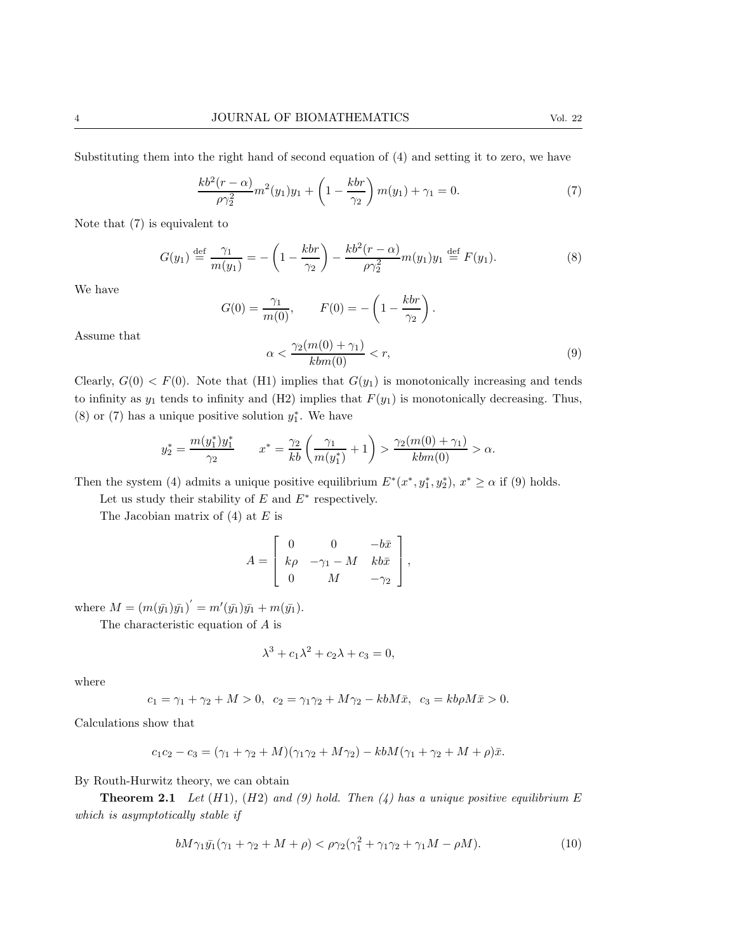Substituting them into the right hand of second equation of (4) and setting it to zero, we have

$$
\frac{kb^2(r-\alpha)}{\rho\gamma_2^2}m^2(y_1)y_1 + \left(1 - \frac{kbr}{\gamma_2}\right)m(y_1) + \gamma_1 = 0.
$$
 (7)

Note that (7) is equivalent to

$$
G(y_1) \stackrel{\text{def}}{=} \frac{\gamma_1}{m(y_1)} = -\left(1 - \frac{kbr}{\gamma_2}\right) - \frac{kb^2(r - \alpha)}{\rho \gamma_2^2} m(y_1) y_1 \stackrel{\text{def}}{=} F(y_1). \tag{8}
$$

We have

$$
G(0) = \frac{\gamma_1}{m(0)}, \qquad F(0) = -\left(1 - \frac{kbr}{\gamma_2}\right).
$$

$$
\alpha < \frac{\gamma_2(m(0) + \gamma_1)}{kbm(0)} < r,\tag{9}
$$

Assume that

Clearly, 
$$
G(0) < F(0)
$$
. Note that (H1) implies that  $G(y_1)$  is monotonically increasing and tends to infinity as  $y_1$  tends to infinity and (H2) implies that  $F(y_1)$  is monotonically decreasing. Thus, (8) or (7) has a unique positive solution  $y_1^*$ . We have

$$
y_2^* = \frac{m(y_1^*)y_1^*}{\gamma_2} \qquad x^* = \frac{\gamma_2}{kb} \left( \frac{\gamma_1}{m(y_1^*)} + 1 \right) > \frac{\gamma_2(m(0) + \gamma_1)}{kbm(0)} > \alpha.
$$

Then the system (4) admits a unique positive equilibrium  $E^*(x^*, y_1^*, y_2^*)$ ,  $x^* \ge \alpha$  if (9) holds.

Let us study their stability of  $E$  and  $E^*$  respectively.

The Jacobian matrix of  $(4)$  at  $E$  is

$$
A = \begin{bmatrix} 0 & 0 & -b\bar{x} \\ k\rho & -\gamma_1 - M & kb\bar{x} \\ 0 & M & -\gamma_2 \end{bmatrix},
$$

where  $M = (m(\bar{y_1})\bar{y_1})' = m'(\bar{y_1})\bar{y_1} + m(\bar{y_1}).$ 

The characteristic equation of A is

$$
\lambda^3 + c_1 \lambda^2 + c_2 \lambda + c_3 = 0,
$$

where

$$
c_1 = \gamma_1 + \gamma_2 + M > 0, \ \ c_2 = \gamma_1 \gamma_2 + M \gamma_2 - kbM\bar{x}, \ \ c_3 = kb\rho M\bar{x} > 0.
$$

Calculations show that

$$
c_1c_2 - c_3 = (\gamma_1 + \gamma_2 + M)(\gamma_1\gamma_2 + M\gamma_2) - kbM(\gamma_1 + \gamma_2 + M + \rho)\bar{x}.
$$

By Routh-Hurwitz theory, we can obtain

**Theorem 2.1** Let  $(H1)$ ,  $(H2)$  and  $(9)$  hold. Then  $(4)$  has a unique positive equilibrium E which is asymptotically stable if

$$
bM\gamma_1\bar{y_1}(\gamma_1 + \gamma_2 + M + \rho) < \rho\gamma_2(\gamma_1^2 + \gamma_1\gamma_2 + \gamma_1M - \rho M). \tag{10}
$$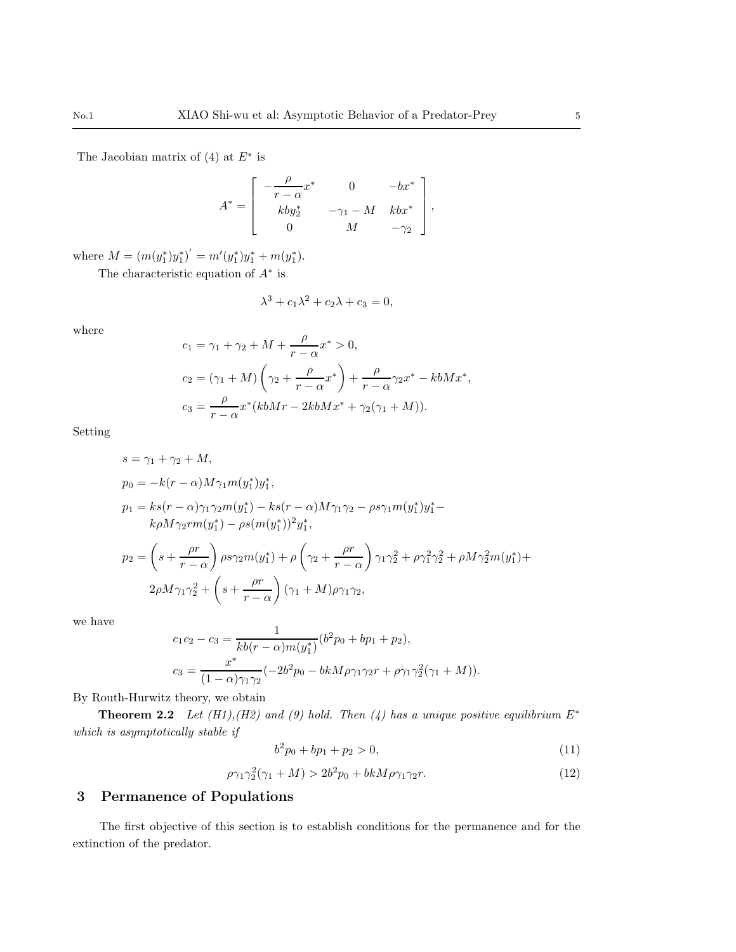The Jacobian matrix of  $(4)$  at  $E^*$  is

$$
A^* = \begin{bmatrix} -\frac{\rho}{r-\alpha}x^* & 0 & -bx^* \\ kb y_2^* & -\gamma_1 - M & kbx^* \\ 0 & M & -\gamma_2 \end{bmatrix},
$$

where  $M = (m(y_1^*)y_1^*)' = m'(y_1^*)y_1^* + m(y_1^*).$ 

The characteristic equation of  $A^*$  is

$$
\lambda^3 + c_1 \lambda^2 + c_2 \lambda + c_3 = 0,
$$

λ

where

$$
c_1 = \gamma_1 + \gamma_2 + M + \frac{\rho}{r - \alpha} x^* > 0,
$$
  
\n
$$
c_2 = (\gamma_1 + M) \left( \gamma_2 + \frac{\rho}{r - \alpha} x^* \right) + \frac{\rho}{r - \alpha} \gamma_2 x^* - kbM x^*,
$$
  
\n
$$
c_3 = \frac{\rho}{r - \alpha} x^* (kbMr - 2kbM x^* + \gamma_2(\gamma_1 + M)).
$$

Setting

$$
s = \gamma_1 + \gamma_2 + M,
$$
  
\n
$$
p_0 = -k(r - \alpha)M\gamma_1 m(y_1^*)y_1^*,
$$
  
\n
$$
p_1 = ks(r - \alpha)\gamma_1\gamma_2 m(y_1^*) - ks(r - \alpha)M\gamma_1\gamma_2 - \rho s \gamma_1 m(y_1^*)y_1^* -
$$
  
\n
$$
k\rho M\gamma_2 r m(y_1^*) - \rho s(m(y_1^*))^2 y_1^*,
$$
  
\n
$$
p_2 = \left(s + \frac{\rho r}{r - \alpha}\right) \rho s \gamma_2 m(y_1^*) + \rho \left(\gamma_2 + \frac{\rho r}{r - \alpha}\right) \gamma_1 \gamma_2^2 + \rho \gamma_1^2 \gamma_2^2 + \rho M \gamma_2^2 m(y_1^*) +
$$
  
\n
$$
2\rho M \gamma_1 \gamma_2^2 + \left(s + \frac{\rho r}{r - \alpha}\right) (\gamma_1 + M) \rho \gamma_1 \gamma_2,
$$

we have

$$
c_1c_2 - c_3 = \frac{1}{kb(r - \alpha)m(y_1^*)}(b^2p_0 + bp_1 + p_2),
$$
  

$$
c_3 = \frac{x^*}{(1 - \alpha)\gamma_1\gamma_2}(-2b^2p_0 - bkM\rho\gamma_1\gamma_2r + \rho\gamma_1\gamma_2^2(\gamma_1 + M)).
$$

By Routh-Hurwitz theory, we obtain

Theorem 2.2 Let  $(H1),(H2)$  and (9) hold. Then (4) has a unique positive equilibrium  $E^*$ which is asymptotically stable if

$$
b^2p_0 + bp_1 + p_2 > 0,\t\t(11)
$$

$$
\rho \gamma_1 \gamma_2^2 (\gamma_1 + M) > 2b^2 p_0 + bkM \rho \gamma_1 \gamma_2 r. \tag{12}
$$

### 3 Permanence of Populations

The first objective of this section is to establish conditions for the permanence and for the extinction of the predator.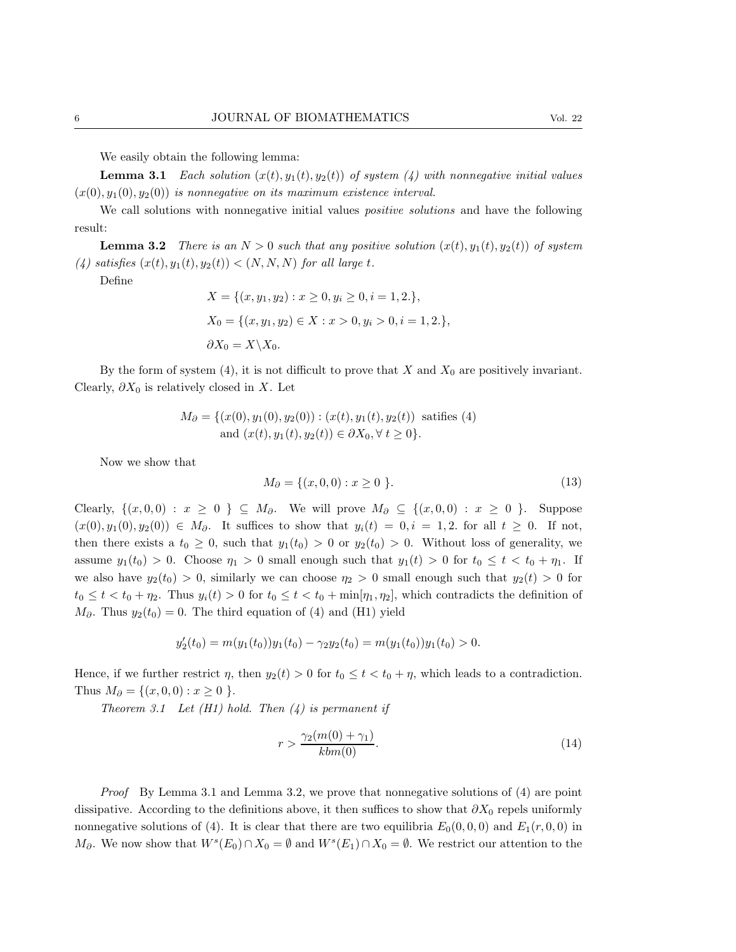We easily obtain the following lemma:

**Lemma 3.1** Each solution  $(x(t), y_1(t), y_2(t))$  of system (4) with nonnegative initial values  $(x(0), y_1(0), y_2(0))$  is nonnegative on its maximum existence interval.

We call solutions with nonnegative initial values *positive solutions* and have the following result:

**Lemma 3.2** There is an  $N > 0$  such that any positive solution  $(x(t), y_1(t), y_2(t))$  of system (4) satisfies  $(x(t), y_1(t), y_2(t)) < (N, N, N)$  for all large t.

Define

$$
X = \{(x, y_1, y_2) : x \ge 0, y_i \ge 0, i = 1, 2.\},
$$
  
\n
$$
X_0 = \{(x, y_1, y_2) \in X : x > 0, y_i > 0, i = 1, 2.\},
$$
  
\n
$$
\partial X_0 = X \setminus X_0.
$$

By the form of system (4), it is not difficult to prove that X and  $X_0$  are positively invariant. Clearly,  $\partial X_0$  is relatively closed in X. Let

$$
M_{\partial} = \{ (x(0), y_1(0), y_2(0)) : (x(t), y_1(t), y_2(t)) \text{ satisfies (4)}\text{and } (x(t), y_1(t), y_2(t)) \in \partial X_0, \forall t \ge 0 \}.
$$

Now we show that

$$
M_{\partial} = \{(x, 0, 0) : x \ge 0 \}.
$$
 (13)

Clearly,  $\{(x, 0, 0) : x \ge 0 \} \subseteq M_{\partial}$ . We will prove  $M_{\partial} \subseteq \{(x, 0, 0) : x \ge 0 \}$ . Suppose  $(x(0), y_1(0), y_2(0)) \in M_\partial$ . It suffices to show that  $y_i(t) = 0, i = 1, 2$ . for all  $t \geq 0$ . If not, then there exists a  $t_0 \geq 0$ , such that  $y_1(t_0) > 0$  or  $y_2(t_0) > 0$ . Without loss of generality, we assume  $y_1(t_0) > 0$ . Choose  $\eta_1 > 0$  small enough such that  $y_1(t) > 0$  for  $t_0 \le t < t_0 + \eta_1$ . If we also have  $y_2(t_0) > 0$ , similarly we can choose  $\eta_2 > 0$  small enough such that  $y_2(t) > 0$  for  $t_0 \leq t < t_0 + \eta_2$ . Thus  $y_i(t) > 0$  for  $t_0 \leq t < t_0 + \min[\eta_1, \eta_2]$ , which contradicts the definition of  $M_{\partial}$ . Thus  $y_2(t_0) = 0$ . The third equation of (4) and (H1) yield

$$
y_2'(t_0) = m(y_1(t_0))y_1(t_0) - \gamma_2 y_2(t_0) = m(y_1(t_0))y_1(t_0) > 0.
$$

Hence, if we further restrict  $\eta$ , then  $y_2(t) > 0$  for  $t_0 \le t < t_0 + \eta$ , which leads to a contradiction. Thus  $M_{\partial} = \{(x, 0, 0) : x \ge 0 \}.$ 

Theorem 3.1 Let  $(H1)$  hold. Then  $(4)$  is permanent if

$$
r > \frac{\gamma_2(m(0) + \gamma_1)}{kbm(0)}.\tag{14}
$$

Proof By Lemma 3.1 and Lemma 3.2, we prove that nonnegative solutions of (4) are point dissipative. According to the definitions above, it then suffices to show that  $\partial X_0$  repels uniformly nonnegative solutions of (4). It is clear that there are two equilibria  $E_0(0, 0, 0)$  and  $E_1(r, 0, 0)$  in  $M_{\partial}$ . We now show that  $W^{s}(E_0) \cap X_0 = \emptyset$  and  $W^{s}(E_1) \cap X_0 = \emptyset$ . We restrict our attention to the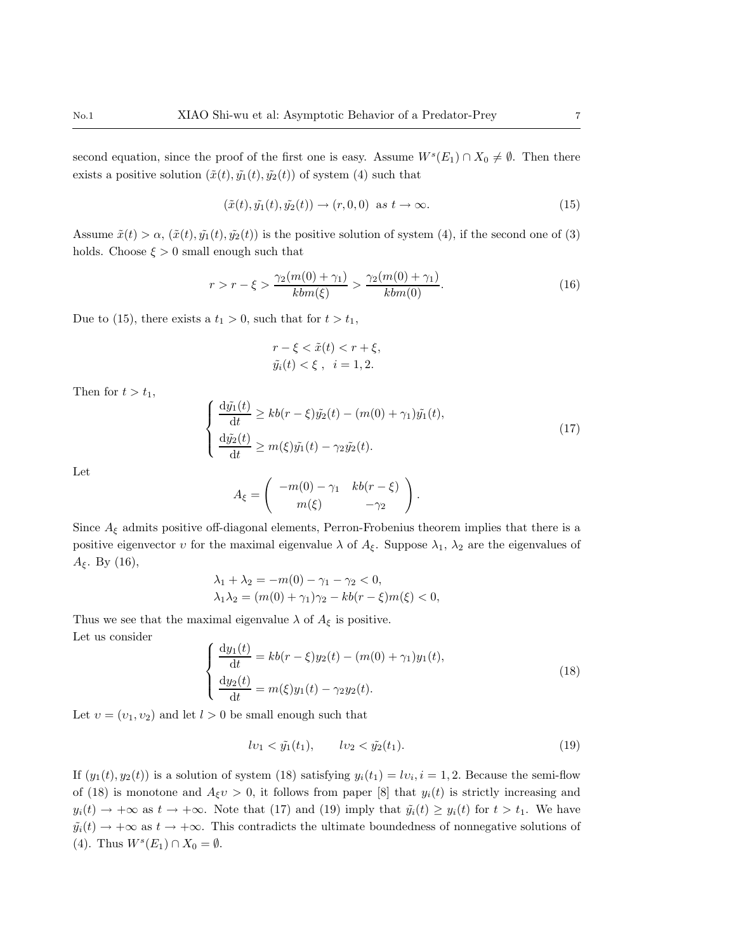second equation, since the proof of the first one is easy. Assume  $W<sup>s</sup>(E<sub>1</sub>) \cap X_0 \neq \emptyset$ . Then there exists a positive solution  $(\tilde{x}(t), \tilde{y}_1(t), \tilde{y}_2(t))$  of system (4) such that

$$
(\tilde{x}(t), \tilde{y}_1(t), \tilde{y}_2(t)) \to (r, 0, 0) \text{ as } t \to \infty.
$$
 (15)

Assume  $\tilde{x}(t) > \alpha$ ,  $(\tilde{x}(t), \tilde{y}_1(t), \tilde{y}_2(t))$  is the positive solution of system (4), if the second one of (3) holds. Choose  $\xi > 0$  small enough such that

$$
r > r - \xi > \frac{\gamma_2(m(0) + \gamma_1)}{kbm(\xi)} > \frac{\gamma_2(m(0) + \gamma_1)}{kbm(0)}.
$$
\n(16)

Due to (15), there exists a  $t_1 > 0$ , such that for  $t > t_1$ ,

$$
r - \xi < \tilde{x}(t) < r + \xi,
$$
\n
$$
\tilde{y}_i(t) < \xi \,, \quad i = 1, 2.
$$

Then for  $t > t_1$ ,

$$
\begin{cases}\n\frac{\mathrm{d}\tilde{y_1}(t)}{\mathrm{d}t} \ge kb(r-\xi)\tilde{y_2}(t) - (m(0) + \gamma_1)\tilde{y_1}(t), \\
\frac{\mathrm{d}\tilde{y_2}(t)}{\mathrm{d}t} \ge m(\xi)\tilde{y_1}(t) - \gamma_2\tilde{y_2}(t).\n\end{cases}
$$
\n(17)

Let

$$
A_{\xi} = \begin{pmatrix} -m(0) - \gamma_1 & kb(r - \xi) \\ m(\xi) & -\gamma_2 \end{pmatrix}.
$$

Since  $A_{\xi}$  admits positive off-diagonal elements, Perron-Frobenius theorem implies that there is a positive eigenvector v for the maximal eigenvalue  $\lambda$  of  $A_{\xi}$ . Suppose  $\lambda_1$ ,  $\lambda_2$  are the eigenvalues of  $A_{\xi}$ . By (16),

$$
\lambda_1 + \lambda_2 = -m(0) - \gamma_1 - \gamma_2 < 0,
$$
\n
$$
\lambda_1 \lambda_2 = (m(0) + \gamma_1)\gamma_2 - kb(r - \xi)m(\xi) < 0,
$$

Thus we see that the maximal eigenvalue  $\lambda$  of  $A_{\xi}$  is positive. Let us consider

$$
\begin{cases}\n\frac{dy_1(t)}{dt} = kb(r - \xi)y_2(t) - (m(0) + \gamma_1)y_1(t),\n\frac{dy_2(t)}{dt} = m(\xi)y_1(t) - \gamma_2y_2(t).\n\end{cases}
$$
\n(18)

Let  $v = (v_1, v_2)$  and let  $l > 0$  be small enough such that

$$
lv_1 < \tilde{y}_1(t_1), \qquad l v_2 < \tilde{y}_2(t_1). \tag{19}
$$

If  $(y_1(t), y_2(t))$  is a solution of system (18) satisfying  $y_i(t_1) = l v_i, i = 1, 2$ . Because the semi-flow of (18) is monotone and  $A_{\xi}v > 0$ , it follows from paper [8] that  $y_i(t)$  is strictly increasing and  $y_i(t) \to +\infty$  as  $t \to +\infty$ . Note that (17) and (19) imply that  $\tilde{y}_i(t) \ge y_i(t)$  for  $t > t_1$ . We have  $\tilde{y}_i(t) \to +\infty$  as  $t \to +\infty$ . This contradicts the ultimate boundedness of nonnegative solutions of (4). Thus  $W<sup>s</sup>(E<sub>1</sub>) \cap X_0 = \emptyset$ .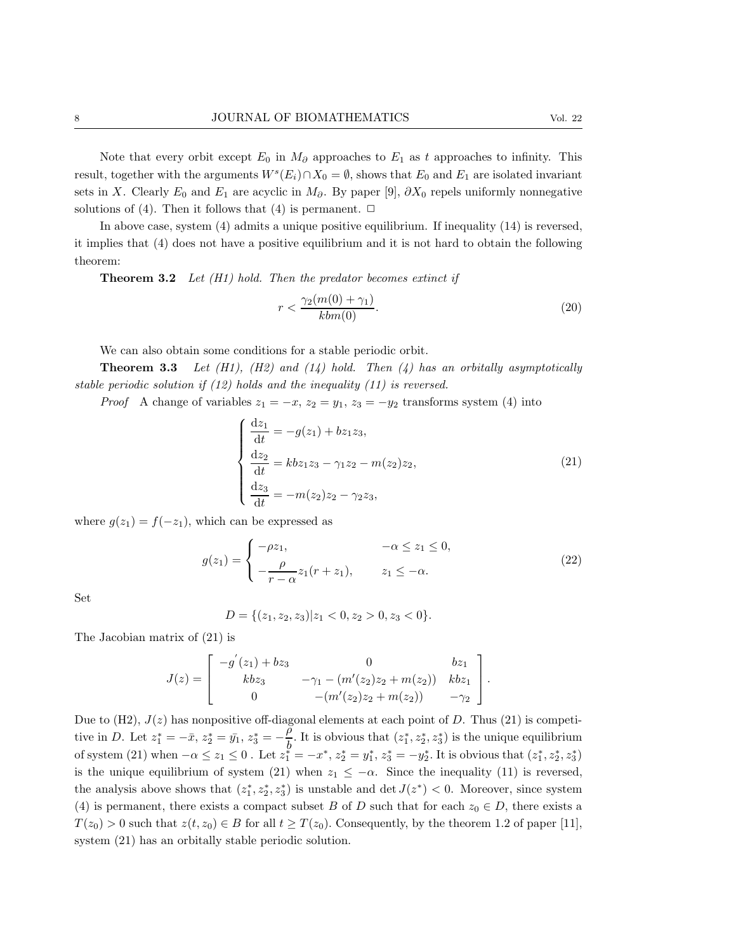Note that every orbit except  $E_0$  in  $M_{\partial}$  approaches to  $E_1$  as t approaches to infinity. This result, together with the arguments  $W<sup>s</sup>(E<sub>i</sub>) \cap X_0 = \emptyset$ , shows that  $E_0$  and  $E_1$  are isolated invariant sets in X. Clearly  $E_0$  and  $E_1$  are acyclic in  $M_{\partial}$ . By paper [9],  $\partial X_0$  repels uniformly nonnegative solutions of (4). Then it follows that (4) is permanent.  $\Box$ 

In above case, system (4) admits a unique positive equilibrium. If inequality (14) is reversed, it implies that (4) does not have a positive equilibrium and it is not hard to obtain the following theorem:

**Theorem 3.2** Let  $(H1)$  hold. Then the predator becomes extinct if

$$
r < \frac{\gamma_2(m(0) + \gamma_1)}{kbm(0)}.\tag{20}
$$

We can also obtain some conditions for a stable periodic orbit.

**Theorem 3.3** Let  $(H1)$ ,  $(H2)$  and  $(14)$  hold. Then  $(4)$  has an orbitally asymptotically stable periodic solution if (12) holds and the inequality (11) is reversed.

*Proof* A change of variables  $z_1 = -x$ ,  $z_2 = y_1$ ,  $z_3 = -y_2$  transforms system (4) into

$$
\begin{cases}\n\frac{dz_1}{dt} = -g(z_1) + bz_1 z_3, \\
\frac{dz_2}{dt} = kb z_1 z_3 - \gamma_1 z_2 - m(z_2) z_2, \\
\frac{dz_3}{dt} = -m(z_2) z_2 - \gamma_2 z_3,\n\end{cases}
$$
\n(21)

where  $g(z_1) = f(-z_1)$ , which can be expressed as

$$
g(z_1) = \begin{cases} -\rho z_1, & -\alpha \le z_1 \le 0, \\ -\frac{\rho}{r - \alpha} z_1 (r + z_1), & z_1 \le -\alpha. \end{cases}
$$
(22)

Set

$$
D = \{(z_1, z_2, z_3) | z_1 < 0, z_2 > 0, z_3 < 0\}.
$$

The Jacobian matrix of (21) is

$$
J(z) = \begin{bmatrix} -g'(z_1) + bz_3 & 0 & bz_1 \\ kbz_3 & -\gamma_1 - (m'(z_2)z_2 + m(z_2)) & kbz_1 \\ 0 & -(m'(z_2)z_2 + m(z_2)) & -\gamma_2 \end{bmatrix}.
$$

Due to  $(H2)$ ,  $J(z)$  has nonpositive off-diagonal elements at each point of D. Thus (21) is competitive in D. Let  $z_1^* = -\bar{x}, z_2^* = \bar{y_1}, z_3^* = -\frac{\rho}{h}$  $\frac{\rho}{b}$ . It is obvious that  $(z_1^*, z_2^*, z_3^*)$  is the unique equilibrium of system (21) when  $-\alpha \leq z_1 \leq 0$ . Let  $z_1^{\ell} = -x^*$ ,  $z_2^* = y_1^*$ ,  $z_3^* = -y_2^*$ . It is obvious that  $(z_1^*, z_2^*, z_3^*)$ is the unique equilibrium of system (21) when  $z_1 \leq -\alpha$ . Since the inequality (11) is reversed, the analysis above shows that  $(z_1^*, z_2^*, z_3^*)$  is unstable and  $\det J(z^*) < 0$ . Moreover, since system (4) is permanent, there exists a compact subset B of D such that for each  $z_0 \in D$ , there exists a  $T(z_0) > 0$  such that  $z(t, z_0) \in B$  for all  $t \geq T(z_0)$ . Consequently, by the theorem 1.2 of paper [11], system (21) has an orbitally stable periodic solution.